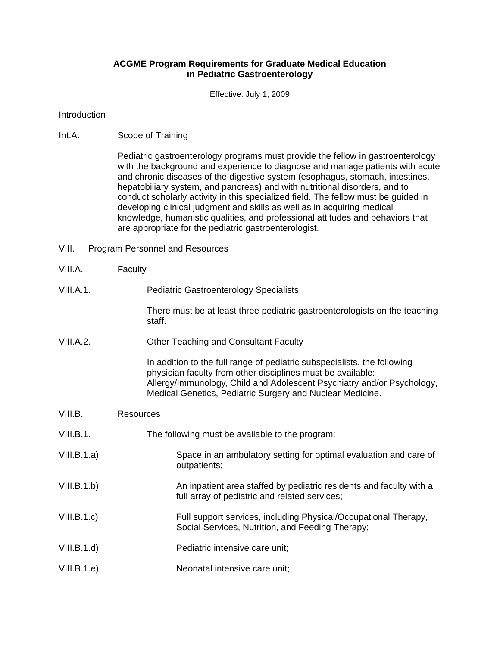## **ACGME Program Requirements for Graduate Medical Education in Pediatric Gastroenterology**

Effective: July 1, 2009

**Introduction** 

Int.A. Scope of Training

Pediatric gastroenterology programs must provide the fellow in gastroenterology with the background and experience to diagnose and manage patients with acute and chronic diseases of the digestive system (esophagus, stomach, intestines, hepatobiliary system, and pancreas) and with nutritional disorders, and to conduct scholarly activity in this specialized field. The fellow must be guided in developing clinical judgment and skills as well as in acquiring medical knowledge, humanistic qualities, and professional attitudes and behaviors that are appropriate for the pediatric gastroenterologist.

- VIII. Program Personnel and Resources
- VIII.A. Faculty
- VIII.A.1. Pediatric Gastroenterology Specialists

There must be at least three pediatric gastroenterologists on the teaching staff.

VIII.A.2. Other Teaching and Consultant Faculty

In addition to the full range of pediatric subspecialists, the following physician faculty from other disciplines must be available: Allergy/Immunology, Child and Adolescent Psychiatry and/or Psychology, Medical Genetics, Pediatric Surgery and Nuclear Medicine.

- VIII.B. Resources
- VIII.B.1. The following must be available to the program:
- VIII.B.1.a) Space in an ambulatory setting for optimal evaluation and care of outpatients;
- VIII.B.1.b) An inpatient area staffed by pediatric residents and faculty with a full array of pediatric and related services;
- VIII.B.1.c) Full support services, including Physical/Occupational Therapy, Social Services, Nutrition, and Feeding Therapy;
- VIII.B.1.d) Pediatric intensive care unit;
- VIII.B.1.e) Neonatal intensive care unit;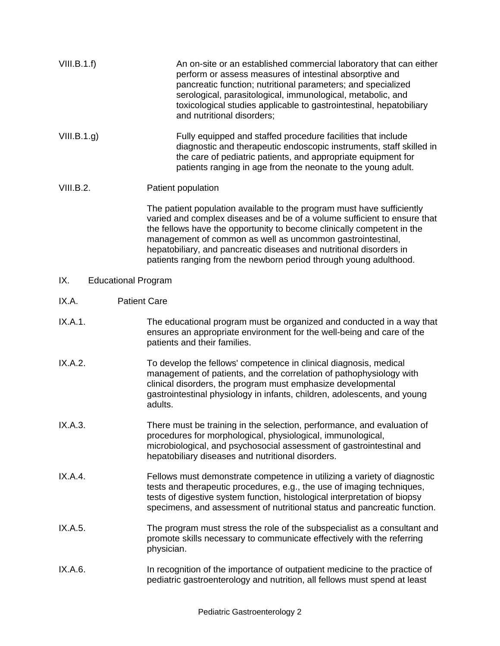| VIII.B.1.f)                       | An on-site or an established commercial laboratory that can either<br>perform or assess measures of intestinal absorptive and<br>pancreatic function; nutritional parameters; and specialized<br>serological, parasitological, immunological, metabolic, and<br>toxicological studies applicable to gastrointestinal, hepatobiliary<br>and nutritional disorders;                                                                      |
|-----------------------------------|----------------------------------------------------------------------------------------------------------------------------------------------------------------------------------------------------------------------------------------------------------------------------------------------------------------------------------------------------------------------------------------------------------------------------------------|
| VIII.B.1.g.                       | Fully equipped and staffed procedure facilities that include<br>diagnostic and therapeutic endoscopic instruments, staff skilled in<br>the care of pediatric patients, and appropriate equipment for<br>patients ranging in age from the neonate to the young adult.                                                                                                                                                                   |
| VIII.B.2.                         | Patient population                                                                                                                                                                                                                                                                                                                                                                                                                     |
|                                   | The patient population available to the program must have sufficiently<br>varied and complex diseases and be of a volume sufficient to ensure that<br>the fellows have the opportunity to become clinically competent in the<br>management of common as well as uncommon gastrointestinal,<br>hepatobiliary, and pancreatic diseases and nutritional disorders in<br>patients ranging from the newborn period through young adulthood. |
| IX.<br><b>Educational Program</b> |                                                                                                                                                                                                                                                                                                                                                                                                                                        |
| <b>Patient Care</b><br>IX.A.      |                                                                                                                                                                                                                                                                                                                                                                                                                                        |
| IX.A.1.                           | The educational program must be organized and conducted in a way that<br>ensures an appropriate environment for the well-being and care of the<br>patients and their families.                                                                                                                                                                                                                                                         |
| IX.A.2.                           | To develop the fellows' competence in clinical diagnosis, medical<br>management of patients, and the correlation of pathophysiology with<br>clinical disorders, the program must emphasize developmental<br>gastrointestinal physiology in infants, children, adolescents, and young<br>adults.                                                                                                                                        |
| IX.A.3.                           | There must be training in the selection, performance, and evaluation of<br>procedures for morphological, physiological, immunological,<br>microbiological, and psychosocial assessment of gastrointestinal and<br>hepatobiliary diseases and nutritional disorders.                                                                                                                                                                    |
| IX.A.4.                           | Fellows must demonstrate competence in utilizing a variety of diagnostic<br>tests and therapeutic procedures, e.g., the use of imaging techniques,<br>tests of digestive system function, histological interpretation of biopsy<br>specimens, and assessment of nutritional status and pancreatic function.                                                                                                                            |
| IX.A.5.                           | The program must stress the role of the subspecialist as a consultant and<br>promote skills necessary to communicate effectively with the referring<br>physician.                                                                                                                                                                                                                                                                      |

IX.A.6. In recognition of the importance of outpatient medicine to the practice of pediatric gastroenterology and nutrition, all fellows must spend at least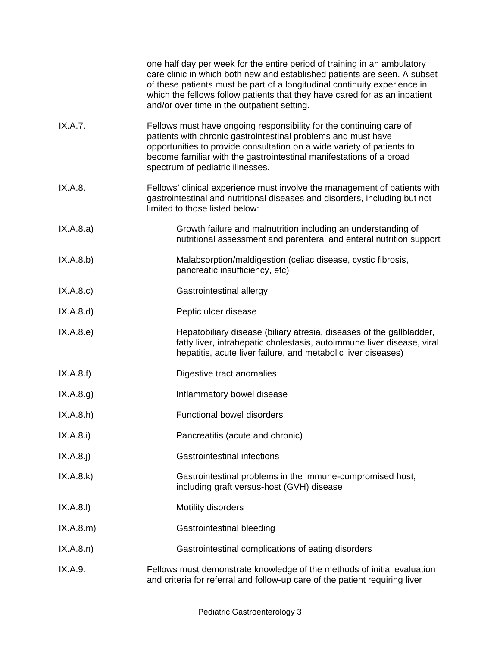|             | one half day per week for the entire period of training in an ambulatory<br>care clinic in which both new and established patients are seen. A subset<br>of these patients must be part of a longitudinal continuity experience in<br>which the fellows follow patients that they have cared for as an inpatient<br>and/or over time in the outpatient setting. |
|-------------|-----------------------------------------------------------------------------------------------------------------------------------------------------------------------------------------------------------------------------------------------------------------------------------------------------------------------------------------------------------------|
| IX.A.7.     | Fellows must have ongoing responsibility for the continuing care of<br>patients with chronic gastrointestinal problems and must have<br>opportunities to provide consultation on a wide variety of patients to<br>become familiar with the gastrointestinal manifestations of a broad<br>spectrum of pediatric illnesses.                                       |
| IX.A.8.     | Fellows' clinical experience must involve the management of patients with<br>gastrointestinal and nutritional diseases and disorders, including but not<br>limited to those listed below:                                                                                                                                                                       |
| IX.A.8.a)   | Growth failure and malnutrition including an understanding of<br>nutritional assessment and parenteral and enteral nutrition support                                                                                                                                                                                                                            |
| (X.A.8.b)   | Malabsorption/maldigestion (celiac disease, cystic fibrosis,<br>pancreatic insufficiency, etc)                                                                                                                                                                                                                                                                  |
| IX.A.8.c    | Gastrointestinal allergy                                                                                                                                                                                                                                                                                                                                        |
| IX.A.8.d)   | Peptic ulcer disease                                                                                                                                                                                                                                                                                                                                            |
| IX.A.8.e)   | Hepatobiliary disease (biliary atresia, diseases of the gallbladder,<br>fatty liver, intrahepatic cholestasis, autoimmune liver disease, viral<br>hepatitis, acute liver failure, and metabolic liver diseases)                                                                                                                                                 |
| IX.A.8.f)   | Digestive tract anomalies                                                                                                                                                                                                                                                                                                                                       |
| IX.A.8.g.   | Inflammatory bowel disease                                                                                                                                                                                                                                                                                                                                      |
| IX.A.8.h)   | <b>Functional bowel disorders</b>                                                                                                                                                                                                                                                                                                                               |
| IX.A.8.i)   | Pancreatitis (acute and chronic)                                                                                                                                                                                                                                                                                                                                |
| $IX.A.8.$ j | <b>Gastrointestinal infections</b>                                                                                                                                                                                                                                                                                                                              |
| IX.A.8.k)   | Gastrointestinal problems in the immune-compromised host,<br>including graft versus-host (GVH) disease                                                                                                                                                                                                                                                          |
| IX.A.8.1)   | Motility disorders                                                                                                                                                                                                                                                                                                                                              |
| IX.A.8.m)   | Gastrointestinal bleeding                                                                                                                                                                                                                                                                                                                                       |
| IX.A.8.n)   | Gastrointestinal complications of eating disorders                                                                                                                                                                                                                                                                                                              |
| IX.A.9.     | Fellows must demonstrate knowledge of the methods of initial evaluation<br>and criteria for referral and follow-up care of the patient requiring liver                                                                                                                                                                                                          |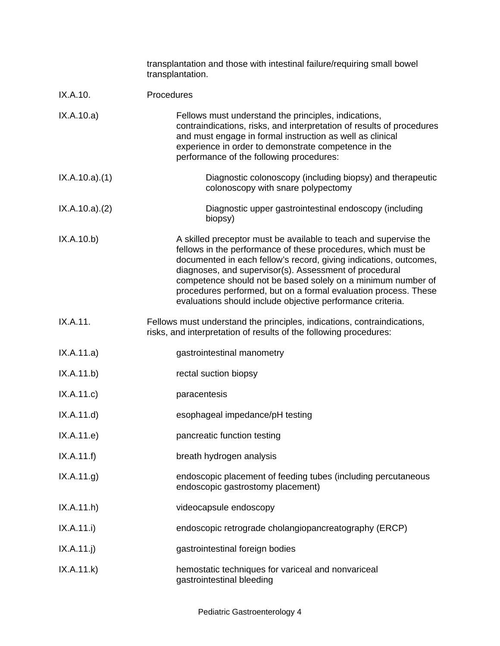|               | transplantation and those with intestinal failure/requiring small bowel<br>transplantation.                                                                                                                                                                                                                                                                                                                                                                       |
|---------------|-------------------------------------------------------------------------------------------------------------------------------------------------------------------------------------------------------------------------------------------------------------------------------------------------------------------------------------------------------------------------------------------------------------------------------------------------------------------|
| IX.A.10.      | Procedures                                                                                                                                                                                                                                                                                                                                                                                                                                                        |
| IX.A.10.a)    | Fellows must understand the principles, indications,<br>contraindications, risks, and interpretation of results of procedures<br>and must engage in formal instruction as well as clinical<br>experience in order to demonstrate competence in the<br>performance of the following procedures:                                                                                                                                                                    |
| IX.A.10.a)(1) | Diagnostic colonoscopy (including biopsy) and therapeutic<br>colonoscopy with snare polypectomy                                                                                                                                                                                                                                                                                                                                                                   |
| IX.A.10.a)(2) | Diagnostic upper gastrointestinal endoscopy (including<br>biopsy)                                                                                                                                                                                                                                                                                                                                                                                                 |
| IX.A.10.b)    | A skilled preceptor must be available to teach and supervise the<br>fellows in the performance of these procedures, which must be<br>documented in each fellow's record, giving indications, outcomes,<br>diagnoses, and supervisor(s). Assessment of procedural<br>competence should not be based solely on a minimum number of<br>procedures performed, but on a formal evaluation process. These<br>evaluations should include objective performance criteria. |
| IX.A.11.      | Fellows must understand the principles, indications, contraindications,<br>risks, and interpretation of results of the following procedures:                                                                                                                                                                                                                                                                                                                      |
| IX.A.11.a)    | gastrointestinal manometry                                                                                                                                                                                                                                                                                                                                                                                                                                        |
| IX.A.11.b)    | rectal suction biopsy                                                                                                                                                                                                                                                                                                                                                                                                                                             |
| IX.A.11.c     | paracentesis                                                                                                                                                                                                                                                                                                                                                                                                                                                      |
| IX.A.11.d)    | esophageal impedance/pH testing                                                                                                                                                                                                                                                                                                                                                                                                                                   |
| IX.A.11.e)    | pancreatic function testing                                                                                                                                                                                                                                                                                                                                                                                                                                       |
| IX.A.11.f)    | breath hydrogen analysis                                                                                                                                                                                                                                                                                                                                                                                                                                          |
| IX.A.11.g.    | endoscopic placement of feeding tubes (including percutaneous<br>endoscopic gastrostomy placement)                                                                                                                                                                                                                                                                                                                                                                |
| IX.A.11.h)    | videocapsule endoscopy                                                                                                                                                                                                                                                                                                                                                                                                                                            |
| IX.A.11.i)    | endoscopic retrograde cholangiopancreatography (ERCP)                                                                                                                                                                                                                                                                                                                                                                                                             |
| IX.A.11.j)    | gastrointestinal foreign bodies                                                                                                                                                                                                                                                                                                                                                                                                                                   |
| IX.A.11.k)    | hemostatic techniques for variceal and nonvariceal<br>gastrointestinal bleeding                                                                                                                                                                                                                                                                                                                                                                                   |